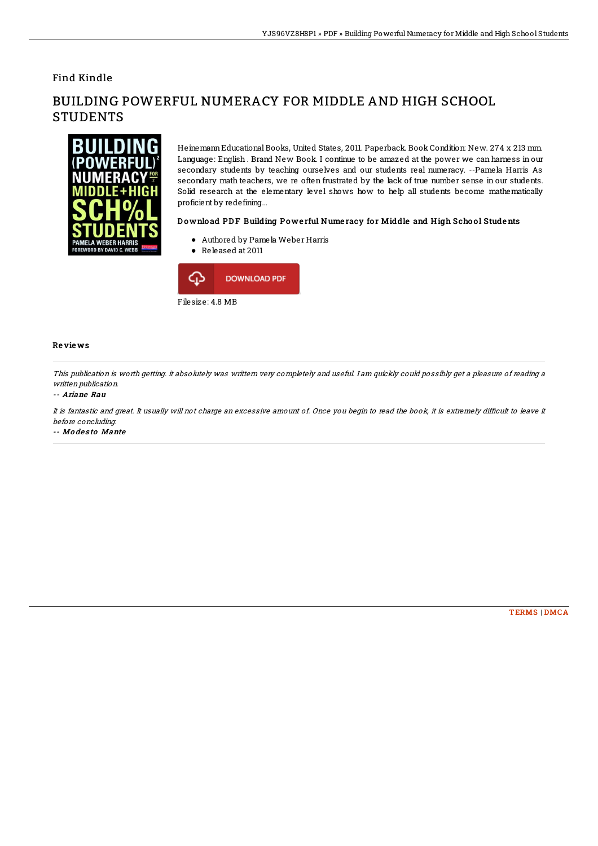# Find Kindle

# ORD BY DAVID C. WEBE

# BUILDING POWERFUL NUMERACY FOR MIDDLE AND HIGH SCHOOL **STUDENTS**

HeinemannEducational Books, United States, 2011. Paperback. Book Condition: New. 274 x 213 mm. Language: English . Brand New Book. I continue to be amazed at the power we can harness in our secondary students by teaching ourselves and our students real numeracy. --Pamela Harris As secondary math teachers, we re often frustrated by the lack of true number sense in our students. Solid research at the elementary level shows how to help all students become mathematically proficient by redefining...

### Download PDF Building Powerful Numeracy for Middle and High School Students

- Authored by Pamela Weber Harris
- Released at 2011



### Re vie ws

This publication is worth getting. it absolutely was writtern very completely and useful. I am quickly could possibly get <sup>a</sup> pleasure of reading <sup>a</sup> written publication.

### -- Ariane Rau

It is fantastic and great. It usually will not charge an excessive amount of. Once you begin to read the book, it is extremely difficult to leave it before concluding.

-- Modesto Mante